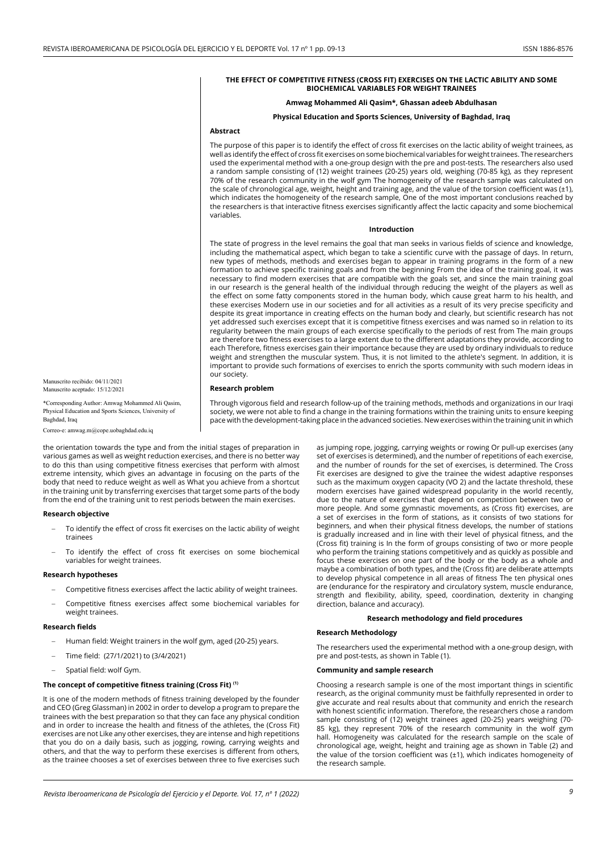## **THE EFFECT OF COMPETITIVE FITNESS (CROSS FIT) EXERCISES ON THE LACTIC ABILITY AND SOME BIOCHEMICAL VARIABLES FOR WEIGHT TRAINEES**

# **Amwag Mohammed Ali Qasim\*, Ghassan adeeb Abdulhasan**

## **Physical Education and Sports Sciences, University of Baghdad, Iraq**

## **Abstract**

The purpose of this paper is to identify the effect of cross fit exercises on the lactic ability of weight trainees, as well as identify the effect of cross fit exercises on some biochemical variables for weight trainees. The researchers used the experimental method with a one-group design with the pre and post-tests. The researchers also used a random sample consisting of (12) weight trainees (20-25) years old, weighing (70-85 kg), as they represent 70% of the research community in the wolf gym The homogeneity of the research sample was calculated on the scale of chronological age, weight, height and training age, and the value of the torsion coefficient was (±1), which indicates the homogeneity of the research sample, One of the most important conclusions reached by the researchers is that interactive fitness exercises significantly affect the lactic capacity and some biochemical variables.

#### **Introduction**

The state of progress in the level remains the goal that man seeks in various fields of science and knowledge, including the mathematical aspect, which began to take a scientific curve with the passage of days. In return, new types of methods, methods and exercises began to appear in training programs in the form of a new formation to achieve specific training goals and from the beginning From the idea of the training goal, it was necessary to find modern exercises that are compatible with the goals set, and since the main training goal in our research is the general health of the individual through reducing the weight of the players as well as the effect on some fatty components stored in the human body, which cause great harm to his health, and these exercises Modern use in our societies and for all activities as a result of its very precise specificity and despite its great importance in creating effects on the human body and clearly, but scientific research has not yet addressed such exercises except that it is competitive fitness exercises and was named so in relation to its regularity between the main groups of each exercise specifically to the periods of rest from The main groups are therefore two fitness exercises to a large extent due to the different adaptations they provide, according to each Therefore, fitness exercises gain their importance because they are used by ordinary individuals to reduce weight and strengthen the muscular system. Thus, it is not limited to the athlete's segment. In addition, it is important to provide such formations of exercises to enrich the sports community with such modern ideas in our society.

#### **Research problem**

Through vigorous field and research follow-up of the training methods, methods and organizations in our Iraqi society, we were not able to find a change in the training formations within the training units to ensure keeping pace with the development-taking place in the advanced societies. New exercises within the training unit in which

Manuscrito recibido: 04/11/2021 Manuscrito aceptado: 15/12/2021

\*Corresponding Author: Amwag Mohammed Ali Qasim, Physical Education and Sports Sciences, University of Baghdad, Iraq

Correo-e: amwag.m@cope.uobaghdad.edu.iq

the orientation towards the type and from the initial stages of preparation in various games as well as weight reduction exercises, and there is no better way to do this than using competitive fitness exercises that perform with almost extreme intensity, which gives an advantage in focusing on the parts of the body that need to reduce weight as well as What you achieve from a shortcut in the training unit by transferring exercises that target some parts of the body from the end of the training unit to rest periods between the main exercises.

## **Research objective**

- To identify the effect of cross fit exercises on the lactic ability of weight trainees
- To identify the effect of cross fit exercises on some biochemical variables for weight trainees.

#### **Research hypotheses**

- Competitive fitness exercises affect the lactic ability of weight trainees.
- Competitive fitness exercises affect some biochemical variables for weight trainees.

## **Research fields**

- Human field: Weight trainers in the wolf gym, aged (20-25) years.
- Time field: (27/1/2021) to (3/4/2021)
- Spatial field: wolf Gym.

## **The concept of competitive fitness training (Cross Fit) (1)**

It is one of the modern methods of fitness training developed by the founder and CEO (Greg Glassman) in 2002 in order to develop a program to prepare the trainees with the best preparation so that they can face any physical condition and in order to increase the health and fitness of the athletes, the (Cross Fit) exercises are not Like any other exercises, they are intense and high repetitions that you do on a daily basis, such as jogging, rowing, carrying weights and others, and that the way to perform these exercises is different from others, as the trainee chooses a set of exercises between three to five exercises such

as jumping rope, jogging, carrying weights or rowing Or pull-up exercises (any set of exercises is determined), and the number of repetitions of each exercise, and the number of rounds for the set of exercises, is determined. The Cross Fit exercises are designed to give the trainee the widest adaptive responses such as the maximum oxygen capacity (VO 2) and the lactate threshold, these modern exercises have gained widespread popularity in the world recently, due to the nature of exercises that depend on competition between two or more people. And some gymnastic movements, as (Cross fit) exercises, are a set of exercises in the form of stations, as it consists of two stations for beginners, and when their physical fitness develops, the number of stations is gradually increased and in line with their level of physical fitness, and the (Cross fit) training is In the form of groups consisting of two or more people who perform the training stations competitively and as quickly as possible and focus these exercises on one part of the body or the body as a whole and maybe a combination of both types, and the (Cross fit) are deliberate attempts to develop physical competence in all areas of fitness The ten physical ones are (endurance for the respiratory and circulatory system, muscle endurance, strength and flexibility, ability, speed, coordination, dexterity in changing direction, balance and accuracy).

## **Research methodology and field procedures**

#### **Research Methodology**

The researchers used the experimental method with a one-group design, with pre and post-tests, as shown in Table (1).

# **Community and sample research**

Choosing a research sample is one of the most important things in scientific research, as the original community must be faithfully represented in order to give accurate and real results about that community and enrich the research with honest scientific information. Therefore, the researchers chose a random sample consisting of (12) weight trainees aged (20-25) years weighing (70- 85 kg), they represent 70% of the research community in the wolf gym hall. Homogeneity was calculated for the research sample on the scale of chronological age, weight, height and training age as shown in Table (2) and the value of the torsion coefficient was (±1), which indicates homogeneity of the research sample.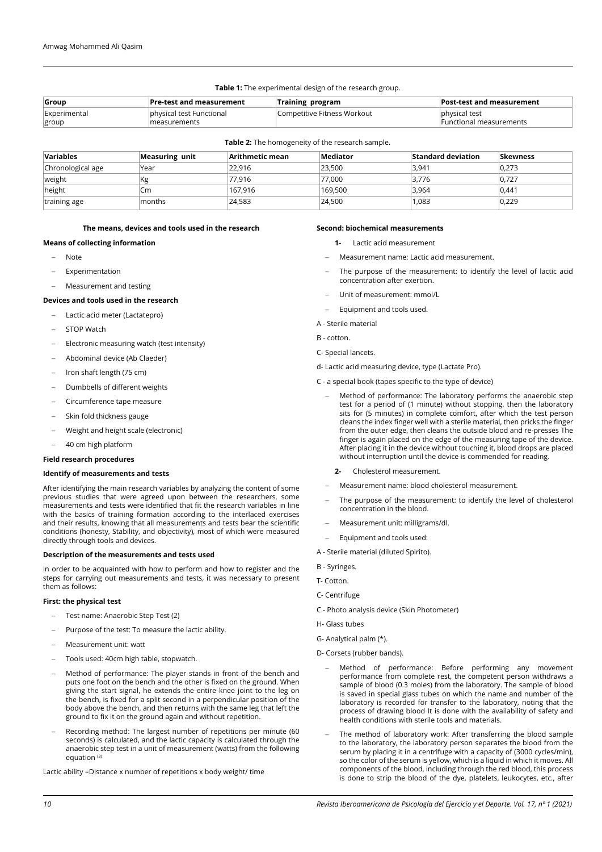| <b>Table 1:</b> The experimental design of the research group.                            |                          |                             |                                |  |  |  |
|-------------------------------------------------------------------------------------------|--------------------------|-----------------------------|--------------------------------|--|--|--|
| Pre-test and measurement<br><b>Post-test and measurement</b><br>Training program<br>Group |                          |                             |                                |  |  |  |
| Experimental                                                                              | physical test Functional | Competitive Fitness Workout | physical test                  |  |  |  |
| group                                                                                     | measurements             |                             | <b>Functional measurements</b> |  |  |  |

**Table 2:** The homogeneity of the research sample.

| <b>Variables</b>  | Measuring unit | Arithmetic mean | Mediator | <b>Standard deviation</b> | <b>Skewness</b> |
|-------------------|----------------|-----------------|----------|---------------------------|-----------------|
| Chronological age | Year           | 22.916          | 23,500   | 3.941                     | 0.273           |
| weight            | Kg             | 77.916          | 77,000   | 3,776                     | 0,727           |
| height            | Cm             | 167.916         | 169,500  | 3,964                     | 0.441           |
| training age      | months         | 24,583          | 24,500   | 1,083                     | 0,229           |

## **The means, devices and tools used in the research**

## **Means of collecting information**

- - Note
- Experimentation
- Measurement and testing

### **Devices and tools used in the research**

- Lactic acid meter (Lactatepro)
- STOP Watch
- Electronic measuring watch (test intensity)
- Abdominal device (Ab Claeder)
- Iron shaft length (75 cm)
- Dumbbells of different weights
- Circumference tape measure
- Skin fold thickness gauge
- Weight and height scale (electronic)
- 40 cm high platform

# **Field research procedures**

# **Identify of measurements and tests**

After identifying the main research variables by analyzing the content of some previous studies that were agreed upon between the researchers, some measurements and tests were identified that fit the research variables in line with the basics of training formation according to the interlaced exercises and their results, knowing that all measurements and tests bear the scientific conditions (honesty, Stability, and objectivity), most of which were measured directly through tools and devices.

#### **Description of the measurements and tests used**

In order to be acquainted with how to perform and how to register and the steps for carrying out measurements and tests, it was necessary to present them as follows:

## **First: the physical test**

- Test name: Anaerobic Step Test (2)
- Purpose of the test: To measure the lactic ability.
- Measurement unit: watt
- Tools used: 40cm high table, stopwatch.
- Method of performance: The player stands in front of the bench and puts one foot on the bench and the other is fixed on the ground. When giving the start signal, he extends the entire knee joint to the leg on the bench, is fixed for a split second in a perpendicular position of the body above the bench, and then returns with the same leg that left the ground to fix it on the ground again and without repetition.
- Recording method: The largest number of repetitions per minute (60 seconds) is calculated, and the lactic capacity is calculated through the anaerobic step test in a unit of measurement (watts) from the following equation (3)

Lactic ability =Distance x number of repetitions x body weight/ time

## **Second: biochemical measurements**

- **1-** Lactic acid measurement
- Measurement name: Lactic acid measurement.
- The purpose of the measurement: to identify the level of lactic acid concentration after exertion.
- Unit of measurement: mmol/L
- Equipment and tools used.
- A Sterile material
- B cotton.
- C- Special lancets.
- d- Lactic acid measuring device, type (Lactate Pro).
- C a special book (tapes specific to the type of device)
	- Method of performance: The laboratory performs the anaerobic step test for a period of (1 minute) without stopping, then the laboratory sits for (5 minutes) in complete comfort, after which the test person cleans the index finger well with a sterile material, then pricks the finger from the outer edge, then cleans the outside blood and re-presses The finger is again placed on the edge of the measuring tape of the device. After placing it in the device without touching it, blood drops are placed without interruption until the device is commended for reading.
		- **2-** Cholesterol measurement.
	- Measurement name: blood cholesterol measurement.
	- The purpose of the measurement: to identify the level of cholesterol concentration in the blood.
	- Measurement unit: milligrams/dl.
	- Equipment and tools used:
- A Sterile material (diluted Spirito).
- B Syringes.
- T- Cotton.
- C- Centrifuge
- C Photo analysis device (Skin Photometer)
- H- Glass tubes
- G- Analytical palm (\*).
- D- Corsets (rubber bands).
- Method of performance: Before performing any movement performance from complete rest, the competent person withdraws a sample of blood (0.3 moles) from the laboratory. The sample of blood is saved in special glass tubes on which the name and number of the laboratory is recorded for transfer to the laboratory, noting that the process of drawing blood It is done with the availability of safety and health conditions with sterile tools and materials.
- The method of laboratory work: After transferring the blood sample to the laboratory, the laboratory person separates the blood from the serum by placing it in a centrifuge with a capacity of (3000 cycles/min), so the color of the serum is yellow, which is a liquid in which it moves. All components of the blood, including through the red blood, this process is done to strip the blood of the dye, platelets, leukocytes, etc., after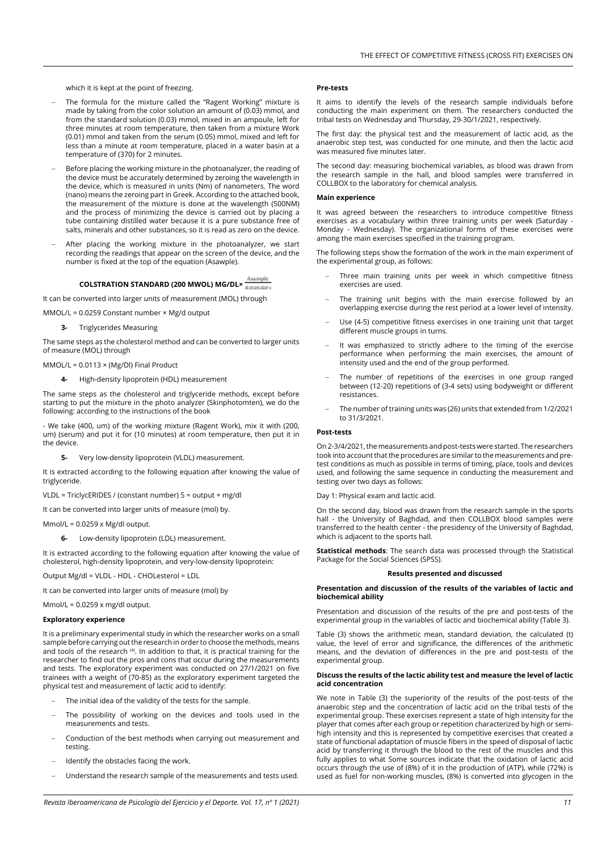which it is kept at the point of freezing.

- The formula for the mixture called the "Ragent Working" mixture is made by taking from the color solution an amount of (0.03) mmol, and from the standard solution (0.03) mmol, mixed in an ampoule, left for three minutes at room temperature, then taken from a mixture Work (0.01) mmol and taken from the serum (0.05) mmol, mixed and left for less than a minute at room temperature, placed in a water basin at a temperature of (370) for 2 minutes.
- Before placing the working mixture in the photoanalyzer, the reading of the device must be accurately determined by zeroing the wavelength in the device, which is measured in units (Nm) of nanometers. The word (nano) means the zeroing part in Greek. According to the attached book, the measurement of the mixture is done at the wavelength (500NM) and the process of minimizing the device is carried out by placing a tube containing distilled water because it is a pure substance free of salts, minerals and other substances, so it is read as zero on the device.
- After placing the working mixture in the photoanalyzer, we start recording the readings that appear on the screen of the device, and the number is fixed at the top of the equation (Asawple).

# **COLSTRATION STANDARD (200 MWOL) MG/DL×**

It can be converted into larger units of measurement (MOL) through

MMOL/L = 0.0259 Constant number × Mg/d output

**3-** Triglycerides Measuring

The same steps as the cholesterol method and can be converted to larger units of measure (MOL) through

MMOL/L = 0.0113 × (Mg/Dl) Final Product

**4-** High-density lipoprotein (HDL) measurement

The same steps as the cholesterol and triglyceride methods, except before starting to put the mixture in the photo analyzer (Skinphotomten), we do the following: according to the instructions of the book

- We take (400, um) of the working mixture (Ragent Work), mix it with (200, um) (serum) and put it for (10 minutes) at room temperature, then put it in the device.

**5-** Very low-density lipoprotein (VLDL) measurement.

It is extracted according to the following equation after knowing the value of triglyceride.

VLDL = TriclycERIDES / (constant number) 5 = output + mg/dl

It can be converted into larger units of measure (mol) by.

Mmol/L = 0.0259 x Mg/dl output.

**6-** Low-density lipoprotein (LDL) measurement.

It is extracted according to the following equation after knowing the value of cholesterol, high-density lipoprotein, and very-low-density lipoprotein:

Output Mg/dl = VLDL - HDL - CHOLesterol = LDL

It can be converted into larger units of measure (mol) by

Mmol/L = 0.0259 x mg/dl output.

## **Exploratory experience**

It is a preliminary experimental study in which the researcher works on a small sample before carrying out the research in order to choose the methods, means and tools of the research <sup>(4)</sup>. In addition to that, it is practical training for the researcher to find out the pros and cons that occur during the measurements and tests. The exploratory experiment was conducted on 27/1/2021 on five trainees with a weight of (70-85) as the exploratory experiment targeted the physical test and measurement of lactic acid to identify:

- The initial idea of the validity of the tests for the sample.
- The possibility of working on the devices and tools used in the measurements and tests.
- Conduction of the best methods when carrying out measurement and testing.
- Identify the obstacles facing the work.
- Understand the research sample of the measurements and tests used.

#### **Pre-tests**

It aims to identify the levels of the research sample individuals before conducting the main experiment on them. The researchers conducted the tribal tests on Wednesday and Thursday, 29-30/1/2021, respectively.

The first day: the physical test and the measurement of lactic acid, as the anaerobic step test, was conducted for one minute, and then the lactic acid was measured five minutes later.

The second day: measuring biochemical variables, as blood was drawn from the research sample in the hall, and blood samples were transferred in COLLBOX to the laboratory for chemical analysis.

## **Main experience**

It was agreed between the researchers to introduce competitive fitness exercises as a vocabulary within three training units per week (Saturday -Monday - Wednesday). The organizational forms of these exercises were among the main exercises specified in the training program.

The following steps show the formation of the work in the main experiment of the experimental group, as follows:

- Three main training units per week in which competitive fitness exercises are used.
- The training unit begins with the main exercise followed by an overlapping exercise during the rest period at a lower level of intensity.
- Use (4-5) competitive fitness exercises in one training unit that target different muscle groups in turns.
- It was emphasized to strictly adhere to the timing of the exercise performance when performing the main exercises, the amount of intensity used and the end of the group performed.
- The number of repetitions of the exercises in one group ranged between (12-20) repetitions of (3-4 sets) using bodyweight or different resistances.
- The number of training units was (26) units that extended from 1/2/2021 to 31/3/2021.

### **Post-tests**

On 2-3/4/2021, the measurements and post-tests were started. The researchers took into account that the procedures are similar to the measurements and pretest conditions as much as possible in terms of timing, place, tools and devices used, and following the same sequence in conducting the measurement and testing over two days as follows:

Day 1: Physical exam and lactic acid.

On the second day, blood was drawn from the research sample in the sports hall - the University of Baghdad, and then COLLBOX blood samples were transferred to the health center - the presidency of the University of Baghdad, which is adjacent to the sports hall.

**Statistical methods**: The search data was processed through the Statistical Package for the Social Sciences (SPSS).

## **Results presented and discussed**

**Presentation and discussion of the results of the variables of lactic and biochemical ability**

Presentation and discussion of the results of the pre and post-tests of the experimental group in the variables of lactic and biochemical ability (Table 3).

Table (3) shows the arithmetic mean, standard deviation, the calculated (t) value, the level of error and significance, the differences of the arithmetic means, and the deviation of differences in the pre and post-tests of the experimental group.

#### **Discuss the results of the lactic ability test and measure the level of lactic acid concentration**

We note in Table (3) the superiority of the results of the post-tests of the anaerobic step and the concentration of lactic acid on the tribal tests of the experimental group. These exercises represent a state of high intensity for the player that comes after each group or repetition characterized by high or semihigh intensity and this is represented by competitive exercises that created a state of functional adaptation of muscle fibers in the speed of disposal of lactic acid by transferring it through the blood to the rest of the muscles and this fully applies to what Some sources indicate that the oxidation of lactic acid occurs through the use of (8%) of it in the production of (ATP), while (72%) is used as fuel for non-working muscles, (8%) is converted into glycogen in the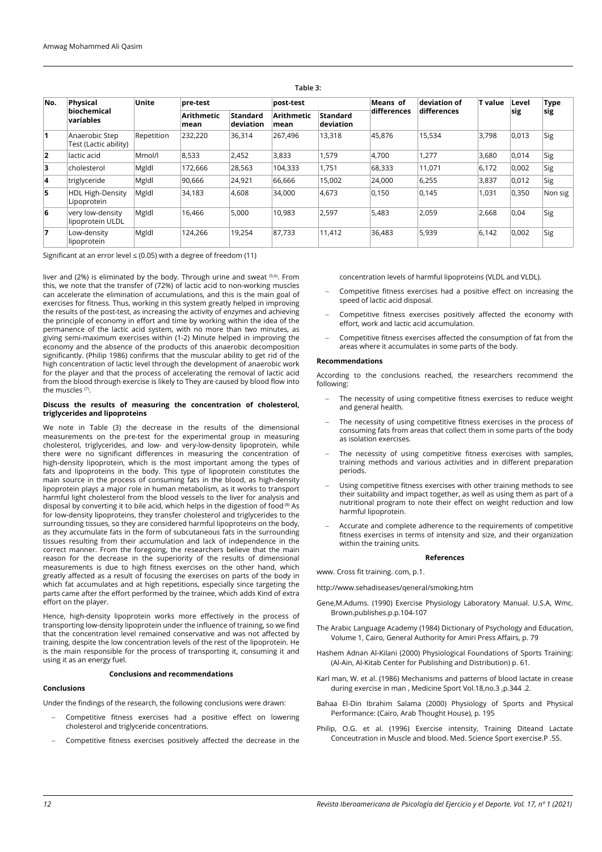| No.            | Physical<br>biochemical<br>variables    | Unite      | pre-test                  |                       | post-test                 |                              | Means of    | deviation of | <b>T</b> value | Level | <b>Type</b> |
|----------------|-----------------------------------------|------------|---------------------------|-----------------------|---------------------------|------------------------------|-------------|--------------|----------------|-------|-------------|
|                |                                         |            | <b>Arithmetic</b><br>mean | Standard<br>deviation | <b>Arithmetic</b><br>mean | <b>Standard</b><br>deviation | differences | differences  |                | sig   | sig         |
| 11             | Anaerobic Step<br>Test (Lactic ability) | Repetition | 232,220                   | 36,314                | 267,496                   | 13,318                       | 45,876      | 15,534       | 3,798          | 0,013 | Sig         |
| $\overline{2}$ | lactic acid                             | Mmol/l     | 8,533                     | 2,452                 | 3,833                     | 1,579                        | 4,700       | 1,277        | 3,680          | 0,014 | Sig         |
| 3              | cholesterol                             | Mgldl      | 172.666                   | 28,563                | 104,333                   | 1,751                        | 68,333      | 11,071       | 6,172          | 0,002 | Sig         |
| $\overline{4}$ | triglyceride                            | Mgldl      | 90,666                    | 24,921                | 66,666                    | 15,002                       | 24,000      | 6,255        | 3,837          | 0,012 | Sig         |
| 5              | <b>HDL High-Density</b><br>Lipoprotein  | Mgldl      | 34,183                    | 4,608                 | 34,000                    | 4,673                        | 0,150       | 0,145        | 1,031          | 0,350 | Non sig     |
| 6              | very low-density<br>lipoprotein ULDL    | Mgldl      | 16.466                    | 5.000                 | 10,983                    | 2,597                        | 5,483       | 2,059        | 2,668          | 0,04  | Sig         |
| 17             | Low-density<br>lipoprotein              | Mgldl      | 124,266                   | 19.254                | 87.733                    | 11,412                       | 36,483      | 5,939        | 6,142          | 0,002 | Sig         |

**Table 3:**

Significant at an error level  $\leq$  (0.05) with a degree of freedom (11)

liver and (2%) is eliminated by the body. Through urine and sweat (5,6). From this, we note that the transfer of (72%) of lactic acid to non-working muscles can accelerate the elimination of accumulations, and this is the main goal of exercises for fitness. Thus, working in this system greatly helped in improving the results of the post-test, as increasing the activity of enzymes and achieving the principle of economy in effort and time by working within the idea of the permanence of the lactic acid system, with no more than two minutes, as giving semi-maximum exercises within (1-2) Minute helped in improving the economy and the absence of the products of this anaerobic decomposition significantly. (Philip 1986) confirms that the muscular ability to get rid of the high concentration of lactic level through the development of anaerobic work for the player and that the process of accelerating the removal of lactic acid from the blood through exercise is likely to They are caused by blood flow into the muscles (7).

## **Discuss the results of measuring the concentration of cholesterol, triglycerides and lipoproteins**

We note in Table (3) the decrease in the results of the dimensional measurements on the pre-test for the experimental group in measuring cholesterol, triglycerides, and low- and very-low-density lipoprotein, while there were no significant differences in measuring the concentration of high-density lipoprotein, which is the most important among the types of fats and lipoproteins in the body. This type of lipoprotein constitutes the main source in the process of consuming fats in the blood, as high-density lipoprotein plays a major role in human metabolism, as it works to transport harmful light cholesterol from the blood vessels to the liver for analysis and disposal by converting it to bile acid, which helps in the digestion of food<sup>(8)</sup> As for low-density lipoproteins, they transfer cholesterol and triglycerides to the surrounding tissues, so they are considered harmful lipoproteins on the body, as they accumulate fats in the form of subcutaneous fats in the surrounding tissues resulting from their accumulation and lack of independence in the correct manner. From the foregoing, the researchers believe that the main reason for the decrease in the superiority of the results of dimensional measurements is due to high fitness exercises on the other hand, which greatly affected as a result of focusing the exercises on parts of the body in which fat accumulates and at high repetitions, especially since targeting the parts came after the effort performed by the trainee, which adds Kind of extra effort on the player.

Hence, high-density lipoprotein works more effectively in the process of transporting low-density lipoprotein under the influence of training, so we find that the concentration level remained conservative and was not affected by training, despite the low concentration levels of the rest of the lipoprotein. He is the main responsible for the process of transporting it, consuming it and using it as an energy fuel.

## **Conclusions and recommendations**

## **Conclusions**

Under the findings of the research, the following conclusions were drawn:

- Competitive fitness exercises had a positive effect on lowering cholesterol and triglyceride concentrations.
- Competitive fitness exercises positively affected the decrease in the

concentration levels of harmful lipoproteins (VLDL and VLDL).

- Competitive fitness exercises had a positive effect on increasing the speed of lactic acid disposal.
- Competitive fitness exercises positively affected the economy with effort, work and lactic acid accumulation.
- Competitive fitness exercises affected the consumption of fat from the areas where it accumulates in some parts of the body.

## **Recommendations**

According to the conclusions reached, the researchers recommend the following:

- The necessity of using competitive fitness exercises to reduce weight and general health.
- The necessity of using competitive fitness exercises in the process of consuming fats from areas that collect them in some parts of the body as isolation exercises.
- The necessity of using competitive fitness exercises with samples, training methods and various activities and in different preparation periods.
- Using competitive fitness exercises with other training methods to see their suitability and impact together, as well as using them as part of a nutritional program to note their effect on weight reduction and low harmful lipoprotein.
- Accurate and complete adherence to the requirements of competitive fitness exercises in terms of intensity and size, and their organization within the training units.

## **References**

www. Cross fit training. com, p.1.

http://www.sehadiseases/qeneral/smoking.htm

- Gene,M.Adums. (1990) Exercise Physiology Laboratory Manual. U.S.A, Wmc. Brown.publishes.p.p.104-107
- The Arabic Language Academy (1984) Dictionary of Psychology and Education, Volume 1, Cairo, General Authority for Amiri Press Affairs, p. 79
- Hashem Adnan Al-Kilani (2000) Physiological Foundations of Sports Training: (Al-Ain, Al-Kitab Center for Publishing and Distribution) p. 61.
- Karl man, W. et al. (1986) Mechanisms and patterns of blood lactate in crease during exercise in man , Medicine Sport Vol.18,no.3 ,p.344 .2.
- Bahaa El-Din Ibrahim Salama (2000) Physiology of Sports and Physical Performance: (Cairo, Arab Thought House), p. 195
- Philip, O.G. et al. (1996) Exercise intensity, Training Diteand Lactate Conceutration in Muscle and blood. Med. Science Sport exercise.P .55.